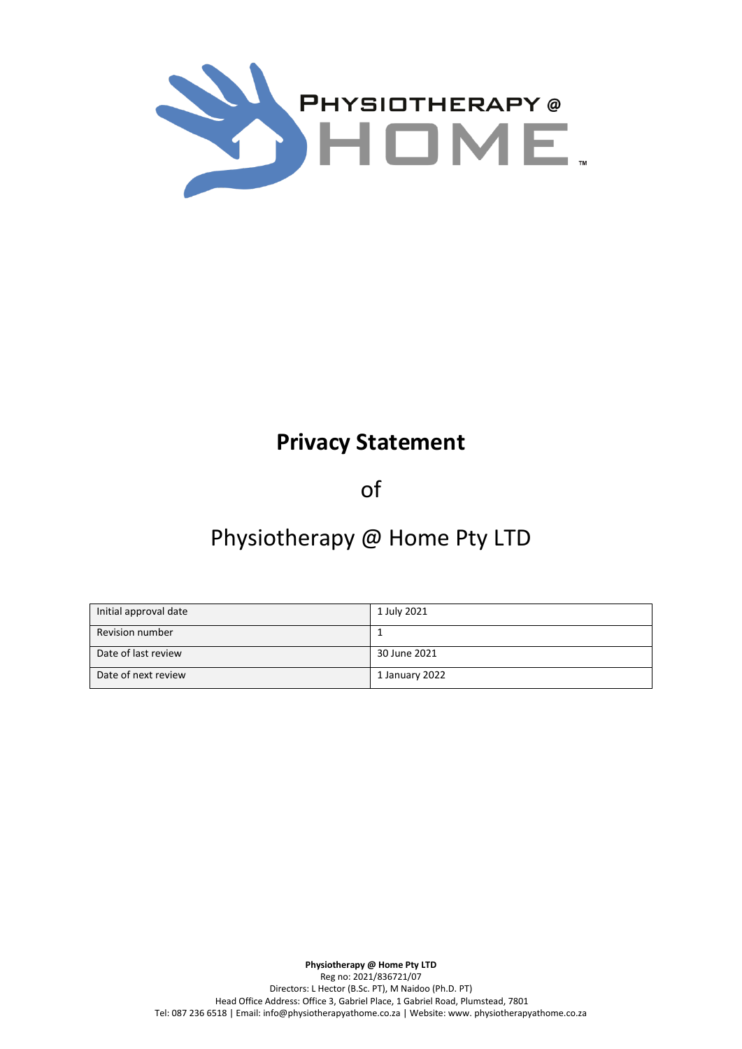

# **Privacy Statement**

of

# Physiotherapy @ Home Pty LTD

| Initial approval date  | 1 July 2021    |
|------------------------|----------------|
| <b>Revision number</b> |                |
| Date of last review    | 30 June 2021   |
| Date of next review    | 1 January 2022 |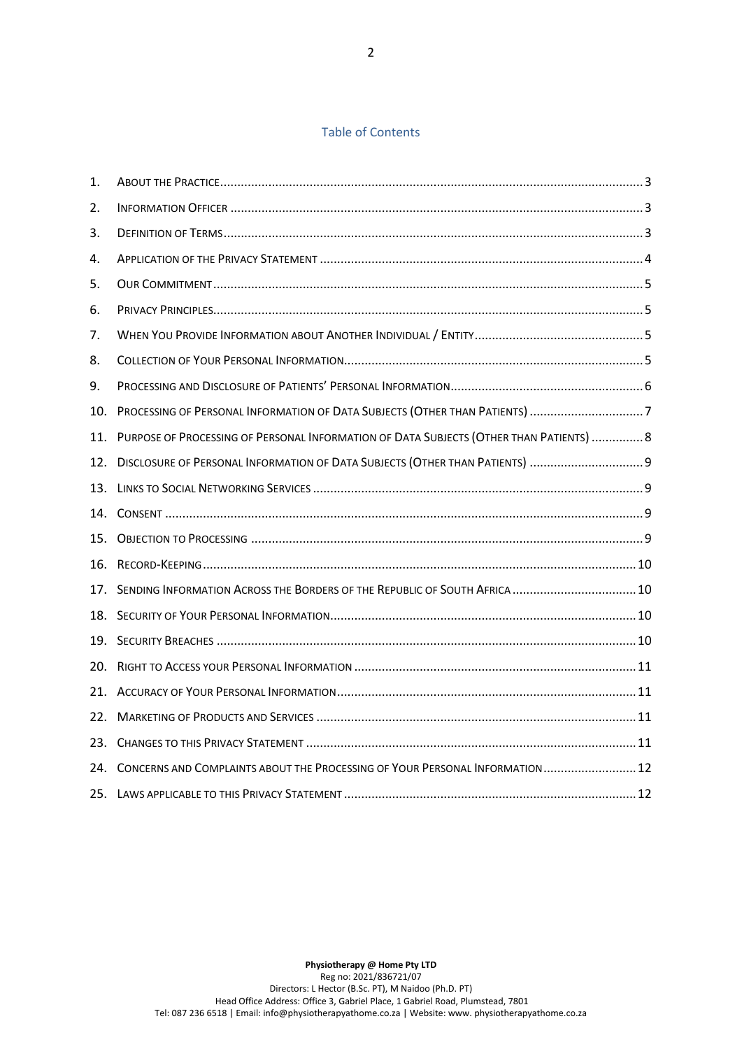# Table of Contents

| 1.  |                                                                                         |  |
|-----|-----------------------------------------------------------------------------------------|--|
| 2.  |                                                                                         |  |
| 3.  |                                                                                         |  |
| 4.  |                                                                                         |  |
| 5.  |                                                                                         |  |
| 6.  |                                                                                         |  |
| 7.  |                                                                                         |  |
| 8.  |                                                                                         |  |
| 9.  |                                                                                         |  |
| 10. | PROCESSING OF PERSONAL INFORMATION OF DATA SUBJECTS (OTHER THAN PATIENTS) 7             |  |
| 11. | PURPOSE OF PROCESSING OF PERSONAL INFORMATION OF DATA SUBJECTS (OTHER THAN PATIENTS)  8 |  |
| 12. | DISCLOSURE OF PERSONAL INFORMATION OF DATA SUBJECTS (OTHER THAN PATIENTS)  9            |  |
| 13. |                                                                                         |  |
| 14. |                                                                                         |  |
| 15. |                                                                                         |  |
| 16. |                                                                                         |  |
| 17. | SENDING INFORMATION ACROSS THE BORDERS OF THE REPUBLIC OF SOUTH AFRICA  10              |  |
| 18. |                                                                                         |  |
| 19. |                                                                                         |  |
| 20. |                                                                                         |  |
| 21. |                                                                                         |  |
| 22. |                                                                                         |  |
| 23. |                                                                                         |  |
|     | 24. CONCERNS AND COMPLAINTS ABOUT THE PROCESSING OF YOUR PERSONAL INFORMATION 12        |  |
|     |                                                                                         |  |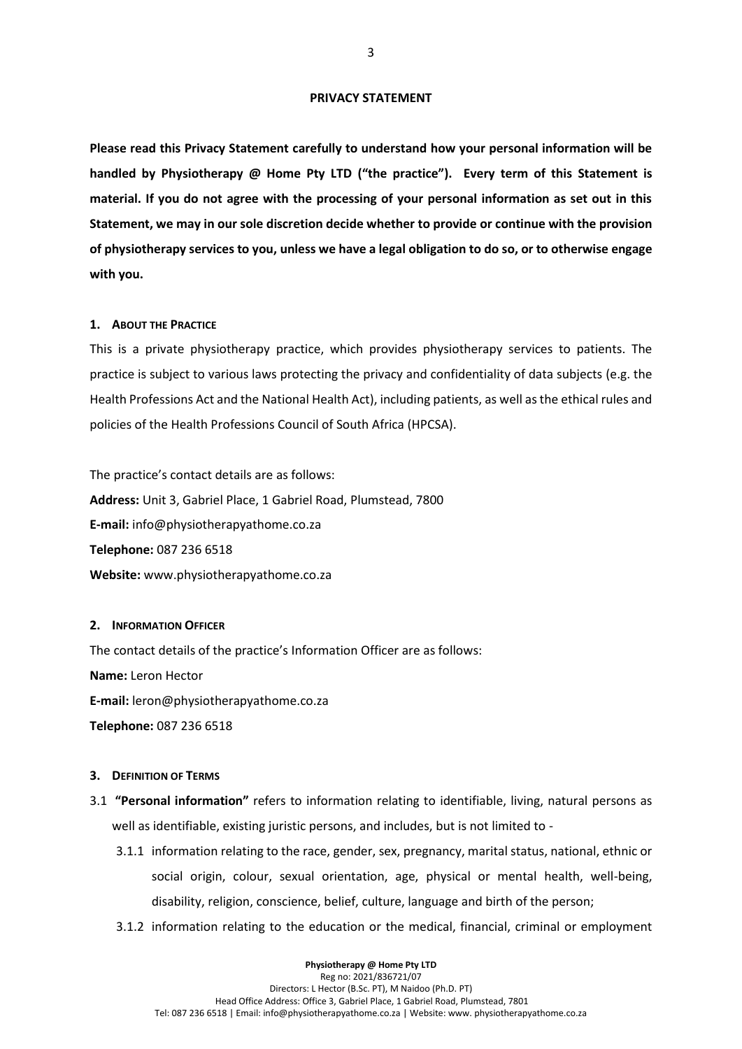#### **PRIVACY STATEMENT**

**Please read this Privacy Statement carefully to understand how your personal information will be handled by Physiotherapy @ Home Pty LTD ("the practice"). Every term of this Statement is material. If you do not agree with the processing of your personal information as set out in this Statement, we may in our sole discretion decide whether to provide or continue with the provision of physiotherapy services to you, unless we have a legal obligation to do so, or to otherwise engage with you.**

#### <span id="page-2-0"></span>**1. ABOUT THE PRACTICE**

This is a private physiotherapy practice, which provides physiotherapy services to patients. The practice is subject to various laws protecting the privacy and confidentiality of data subjects (e.g. the Health Professions Act and the National Health Act), including patients, as well as the ethical rules and policies of the Health Professions Council of South Africa (HPCSA).

The practice's contact details are as follows: **Address:** Unit 3, Gabriel Place, 1 Gabriel Road, Plumstead, 7800 **E-mail:** info@physiotherapyathome.co.za **Telephone:** 087 236 6518 **Website:** www.physiotherapyathome.co.za

#### <span id="page-2-1"></span>**2. INFORMATION OFFICER**

The contact details of the practice's Information Officer are as follows: **Name:** Leron Hector **E-mail:** leron@physiotherapyathome.co.za **Telephone:** 087 236 6518

#### <span id="page-2-2"></span>**3. DEFINITION OF TERMS**

- 3.1 **"Personal information"** refers to information relating to identifiable, living, natural persons as well as identifiable, existing juristic persons, and includes, but is not limited to -
	- 3.1.1 information relating to the race, gender, sex, pregnancy, marital status, national, ethnic or social origin, colour, sexual orientation, age, physical or mental health, well-being, disability, religion, conscience, belief, culture, language and birth of the person;
	- 3.1.2 information relating to the education or the medical, financial, criminal or employment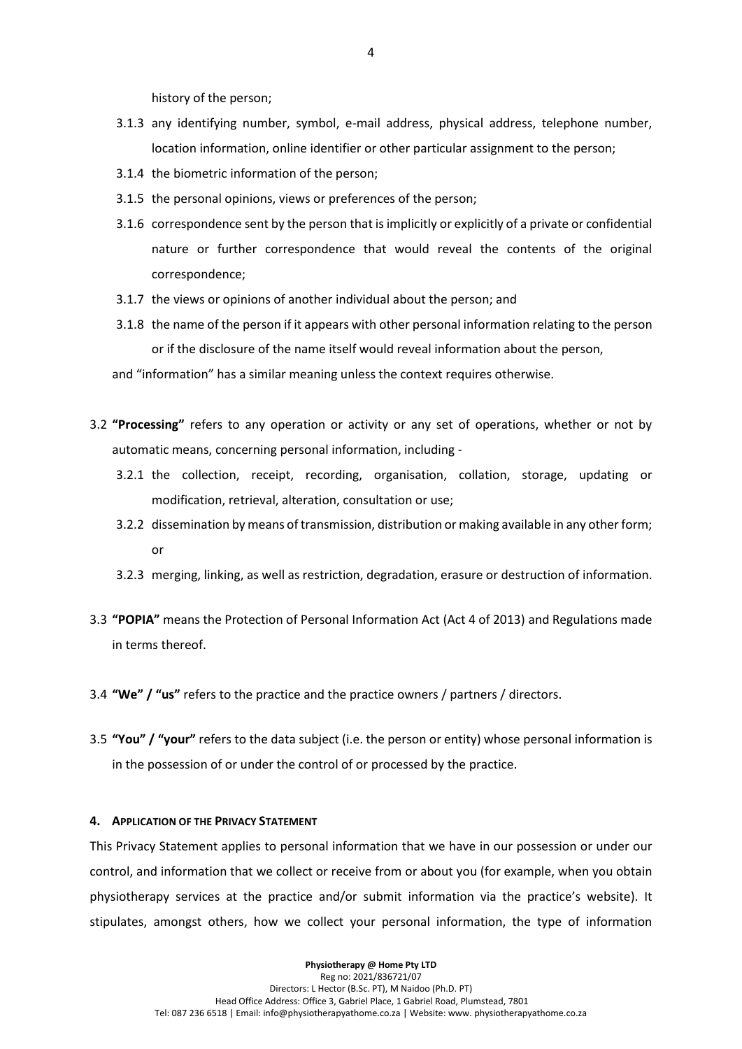history of the person;

- 3.1.3 any identifying number, symbol, e-mail address, physical address, telephone number, location information, online identifier or other particular assignment to the person;
- 3.1.4 the biometric information of the person;
- 3.1.5 the personal opinions, views or preferences of the person;
- 3.1.6 correspondence sent by the person that is implicitly or explicitly of a private or confidential nature or further correspondence that would reveal the contents of the original correspondence;
- 3.1.7 the views or opinions of another individual about the person; and
- 3.1.8 the name of the person if it appears with other personal information relating to the person or if the disclosure of the name itself would reveal information about the person,

and "information" has a similar meaning unless the context requires otherwise.

- 3.2 **"Processing"** refers to any operation or activity or any set of operations, whether or not by automatic means, concerning personal information, including -
	- 3.2.1 the collection, receipt, recording, organisation, collation, storage, updating or modification, retrieval, alteration, consultation or use;
	- 3.2.2 dissemination by means of transmission, distribution or making available in any other form; or
	- 3.2.3 merging, linking, as well as restriction, degradation, erasure or destruction of information.
- 3.3 **"POPIA"** means the Protection of Personal Information Act (Act 4 of 2013) and Regulations made in terms thereof.
- 3.4 **"We" / "us"** refers to the practice and the practice owners / partners / directors.
- 3.5 **"You" / "your"** refers to the data subject (i.e. the person or entity) whose personal information is in the possession of or under the control of or processed by the practice.

#### <span id="page-3-0"></span>**4. APPLICATION OF THE PRIVACY STATEMENT**

This Privacy Statement applies to personal information that we have in our possession or under our control, and information that we collect or receive from or about you (for example, when you obtain physiotherapy services at the practice and/or submit information via the practice's website). It stipulates, amongst others, how we collect your personal information, the type of information

> **Physiotherapy @ Home Pty LTD** Reg no: 2021/836721/07 Directors: L Hector (B.Sc. PT), M Naidoo (Ph.D. PT) Head Office Address: Office 3, Gabriel Place, 1 Gabriel Road, Plumstead, 7801 Tel: 087 236 6518 | Email: info@physiotherapyathome.co.za | Website: www. physiotherapyathome.co.za

4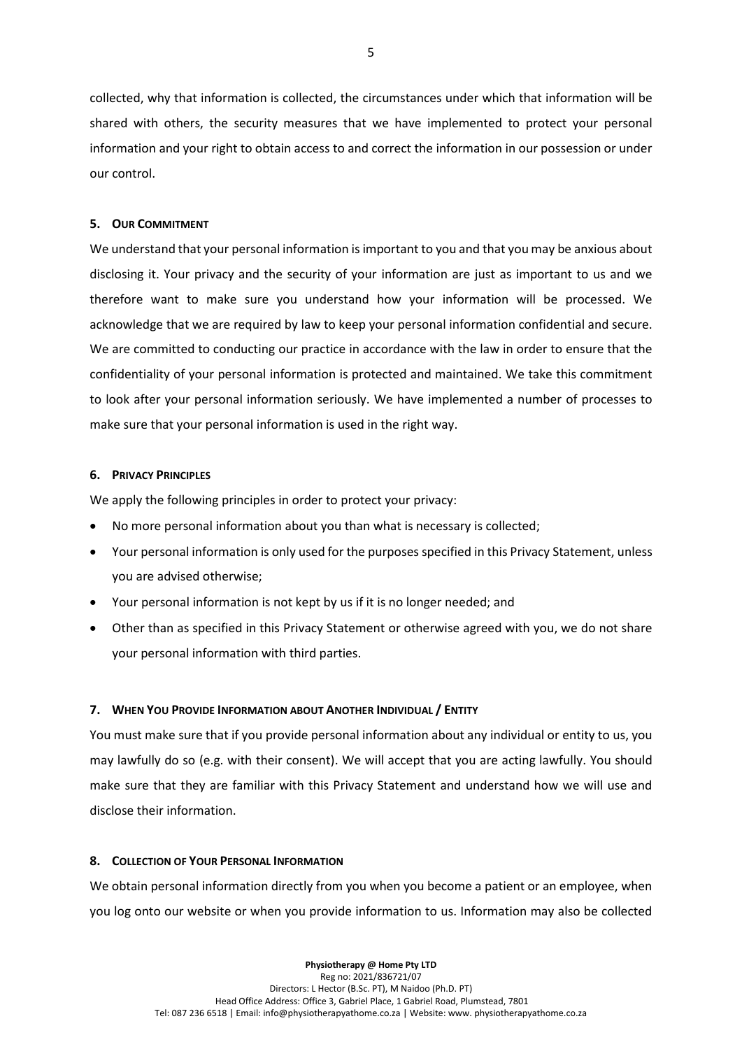collected, why that information is collected, the circumstances under which that information will be shared with others, the security measures that we have implemented to protect your personal information and your right to obtain access to and correct the information in our possession or under our control.

## <span id="page-4-0"></span>**5. OUR COMMITMENT**

We understand that your personal information is important to you and that you may be anxious about disclosing it. Your privacy and the security of your information are just as important to us and we therefore want to make sure you understand how your information will be processed. We acknowledge that we are required by law to keep your personal information confidential and secure. We are committed to conducting our practice in accordance with the law in order to ensure that the confidentiality of your personal information is protected and maintained. We take this commitment to look after your personal information seriously. We have implemented a number of processes to make sure that your personal information is used in the right way.

## <span id="page-4-1"></span>**6. PRIVACY PRINCIPLES**

We apply the following principles in order to protect your privacy:

- No more personal information about you than what is necessary is collected;
- Your personal information is only used for the purposes specified in this Privacy Statement, unless you are advised otherwise;
- Your personal information is not kept by us if it is no longer needed; and
- Other than as specified in this Privacy Statement or otherwise agreed with you, we do not share your personal information with third parties.

## <span id="page-4-2"></span>**7. WHEN YOU PROVIDE INFORMATION ABOUT ANOTHER INDIVIDUAL / ENTITY**

You must make sure that if you provide personal information about any individual or entity to us, you may lawfully do so (e.g. with their consent). We will accept that you are acting lawfully. You should make sure that they are familiar with this Privacy Statement and understand how we will use and disclose their information.

## <span id="page-4-3"></span>**8. COLLECTION OF YOUR PERSONAL INFORMATION**

We obtain personal information directly from you when you become a patient or an employee, when you log onto our website or when you provide information to us. Information may also be collected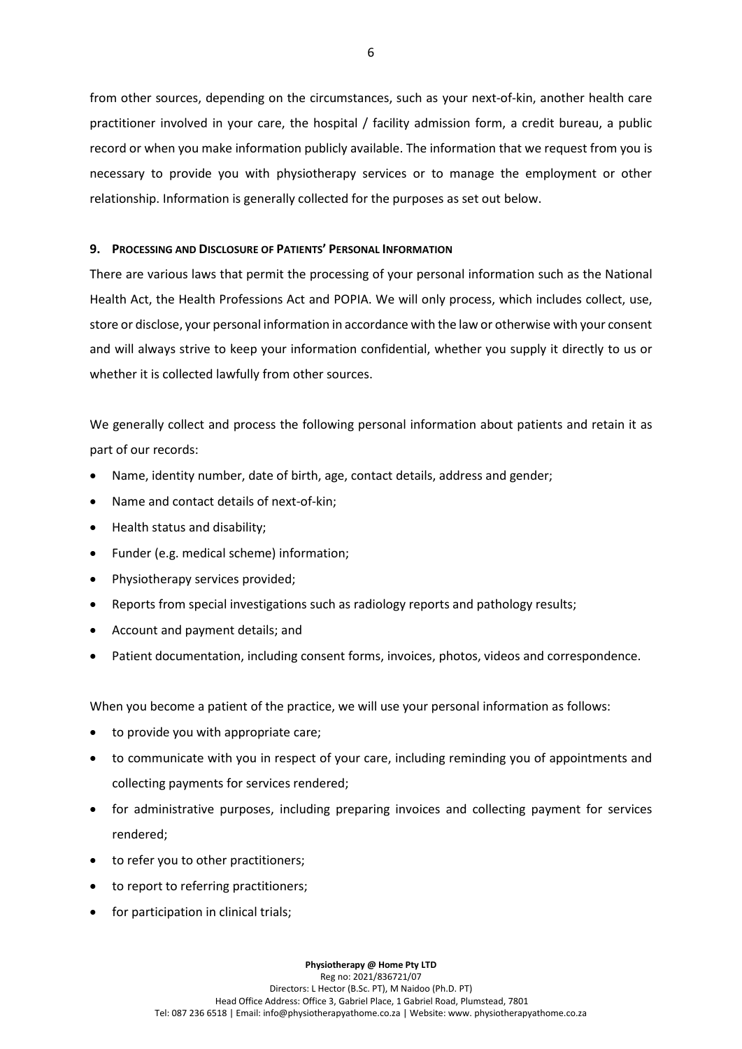from other sources, depending on the circumstances, such as your next-of-kin, another health care practitioner involved in your care, the hospital / facility admission form, a credit bureau, a public record or when you make information publicly available. The information that we request from you is necessary to provide you with physiotherapy services or to manage the employment or other relationship. Information is generally collected for the purposes as set out below.

# <span id="page-5-0"></span>**9. PROCESSING AND DISCLOSURE OF PATIENTS' PERSONAL INFORMATION**

There are various laws that permit the processing of your personal information such as the National Health Act, the Health Professions Act and POPIA. We will only process, which includes collect, use, store or disclose, your personal information in accordance with the law or otherwise with your consent and will always strive to keep your information confidential, whether you supply it directly to us or whether it is collected lawfully from other sources.

We generally collect and process the following personal information about patients and retain it as part of our records:

- Name, identity number, date of birth, age, contact details, address and gender;
- Name and contact details of next-of-kin;
- Health status and disability;
- Funder (e.g. medical scheme) information;
- Physiotherapy services provided;
- Reports from special investigations such as radiology reports and pathology results;
- Account and payment details; and
- Patient documentation, including consent forms, invoices, photos, videos and correspondence.

When you become a patient of the practice, we will use your personal information as follows:

- to provide you with appropriate care;
- to communicate with you in respect of your care, including reminding you of appointments and collecting payments for services rendered;
- for administrative purposes, including preparing invoices and collecting payment for services rendered;
- to refer you to other practitioners;
- to report to referring practitioners;
- for participation in clinical trials;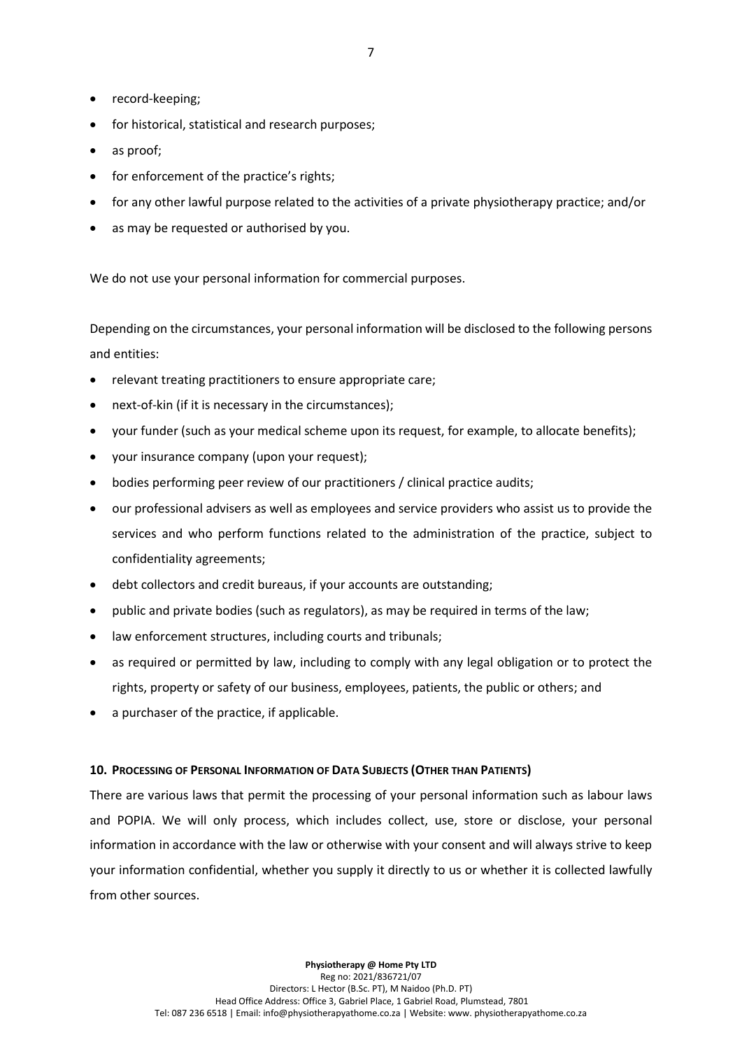- record-keeping;
- for historical, statistical and research purposes;
- as proof;
- for enforcement of the practice's rights;
- for any other lawful purpose related to the activities of a private physiotherapy practice; and/or
- as may be requested or authorised by you.

We do not use your personal information for commercial purposes.

Depending on the circumstances, your personal information will be disclosed to the following persons and entities:

- relevant treating practitioners to ensure appropriate care;
- next-of-kin (if it is necessary in the circumstances);
- your funder (such as your medical scheme upon its request, for example, to allocate benefits);
- your insurance company (upon your request);
- bodies performing peer review of our practitioners / clinical practice audits;
- our professional advisers as well as employees and service providers who assist us to provide the services and who perform functions related to the administration of the practice, subject to confidentiality agreements;
- debt collectors and credit bureaus, if your accounts are outstanding;
- public and private bodies (such as regulators), as may be required in terms of the law;
- law enforcement structures, including courts and tribunals;
- as required or permitted by law, including to comply with any legal obligation or to protect the rights, property or safety of our business, employees, patients, the public or others; and
- a purchaser of the practice, if applicable.

# <span id="page-6-0"></span>**10. PROCESSING OF PERSONAL INFORMATION OF DATA SUBJECTS (OTHER THAN PATIENTS)**

There are various laws that permit the processing of your personal information such as labour laws and POPIA. We will only process, which includes collect, use, store or disclose, your personal information in accordance with the law or otherwise with your consent and will always strive to keep your information confidential, whether you supply it directly to us or whether it is collected lawfully from other sources.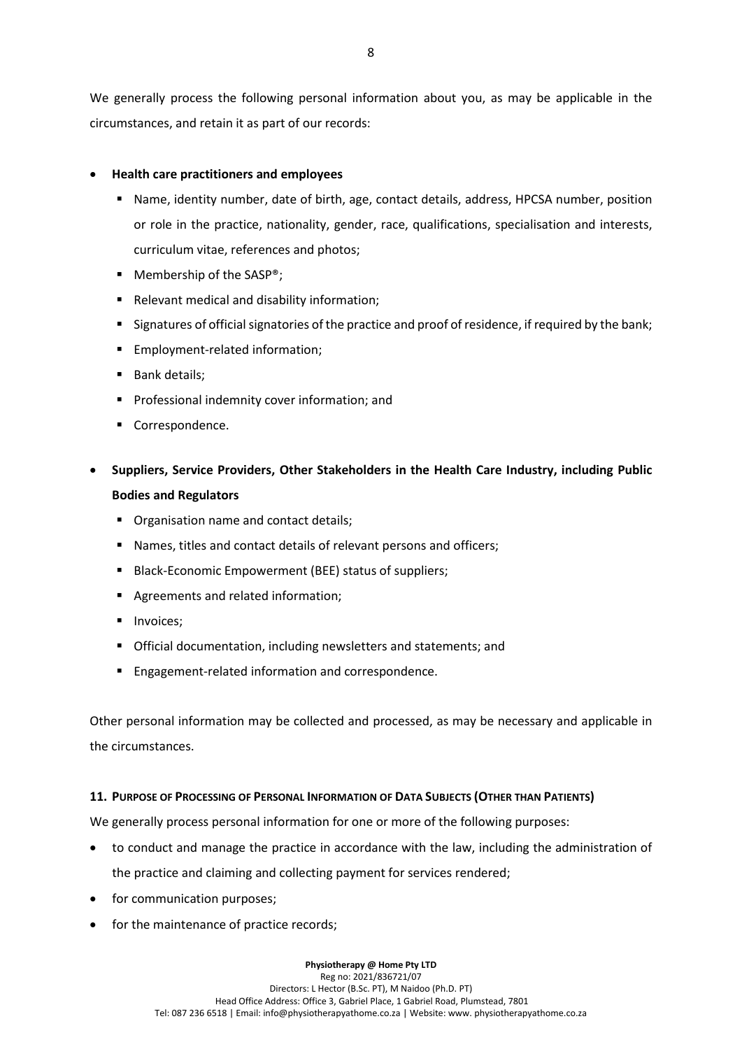We generally process the following personal information about you, as may be applicable in the circumstances, and retain it as part of our records:

# • **Health care practitioners and employees**

- Name, identity number, date of birth, age, contact details, address, HPCSA number, position or role in the practice, nationality, gender, race, qualifications, specialisation and interests, curriculum vitae, references and photos;
- Membership of the SASP<sup>®</sup>;
- Relevant medical and disability information;
- **EXECT SIGNATE:** Signatures of official signatories of the practice and proof of residence, if required by the bank;
- Employment-related information:
- Bank details:
- **•** Professional indemnity cover information; and
- Correspondence.
- **Suppliers, Service Providers, Other Stakeholders in the Health Care Industry, including Public Bodies and Regulators**
	- Organisation name and contact details;
	- Names, titles and contact details of relevant persons and officers;
	- Black-Economic Empowerment (BEE) status of suppliers;
	- Agreements and related information;
	- **■** Invoices;
	- Official documentation, including newsletters and statements; and
	- Engagement-related information and correspondence.

Other personal information may be collected and processed, as may be necessary and applicable in the circumstances.

# <span id="page-7-0"></span>**11. PURPOSE OF PROCESSING OF PERSONAL INFORMATION OF DATA SUBJECTS (OTHER THAN PATIENTS)**

We generally process personal information for one or more of the following purposes:

- to conduct and manage the practice in accordance with the law, including the administration of the practice and claiming and collecting payment for services rendered;
- for communication purposes;
- for the maintenance of practice records: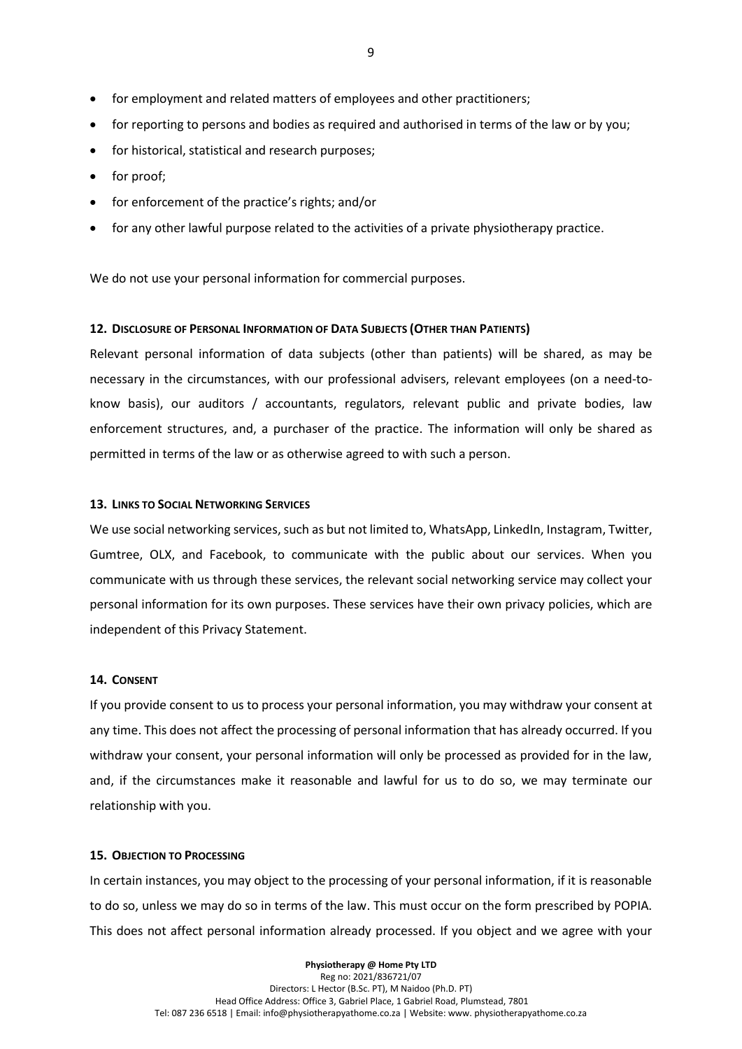- for employment and related matters of employees and other practitioners;
- for reporting to persons and bodies as required and authorised in terms of the law or by you;
- for historical, statistical and research purposes;
- for proof;
- for enforcement of the practice's rights; and/or
- for any other lawful purpose related to the activities of a private physiotherapy practice.

We do not use your personal information for commercial purposes.

#### <span id="page-8-0"></span>**12. DISCLOSURE OF PERSONAL INFORMATION OF DATA SUBJECTS (OTHER THAN PATIENTS)**

Relevant personal information of data subjects (other than patients) will be shared, as may be necessary in the circumstances, with our professional advisers, relevant employees (on a need-toknow basis), our auditors / accountants, regulators, relevant public and private bodies, law enforcement structures, and, a purchaser of the practice. The information will only be shared as permitted in terms of the law or as otherwise agreed to with such a person.

#### <span id="page-8-1"></span>**13. LINKS TO SOCIAL NETWORKING SERVICES**

We use social networking services, such as but not limited to, WhatsApp, LinkedIn, Instagram, Twitter, Gumtree, OLX, and Facebook, to communicate with the public about our services. When you communicate with us through these services, the relevant social networking service may collect your personal information for its own purposes. These services have their own privacy policies, which are independent of this Privacy Statement.

#### <span id="page-8-2"></span>**14. CONSENT**

If you provide consent to us to process your personal information, you may withdraw your consent at any time. This does not affect the processing of personal information that has already occurred. If you withdraw your consent, your personal information will only be processed as provided for in the law, and, if the circumstances make it reasonable and lawful for us to do so, we may terminate our relationship with you.

#### <span id="page-8-3"></span>**15. OBJECTION TO PROCESSING**

In certain instances, you may object to the processing of your personal information, if it is reasonable to do so, unless we may do so in terms of the law. This must occur on the form prescribed by POPIA. This does not affect personal information already processed. If you object and we agree with your

> **Physiotherapy @ Home Pty LTD** Reg no: 2021/836721/07 Directors: L Hector (B.Sc. PT), M Naidoo (Ph.D. PT) Head Office Address: Office 3, Gabriel Place, 1 Gabriel Road, Plumstead, 7801 Tel: 087 236 6518 | Email: info@physiotherapyathome.co.za | Website: www. physiotherapyathome.co.za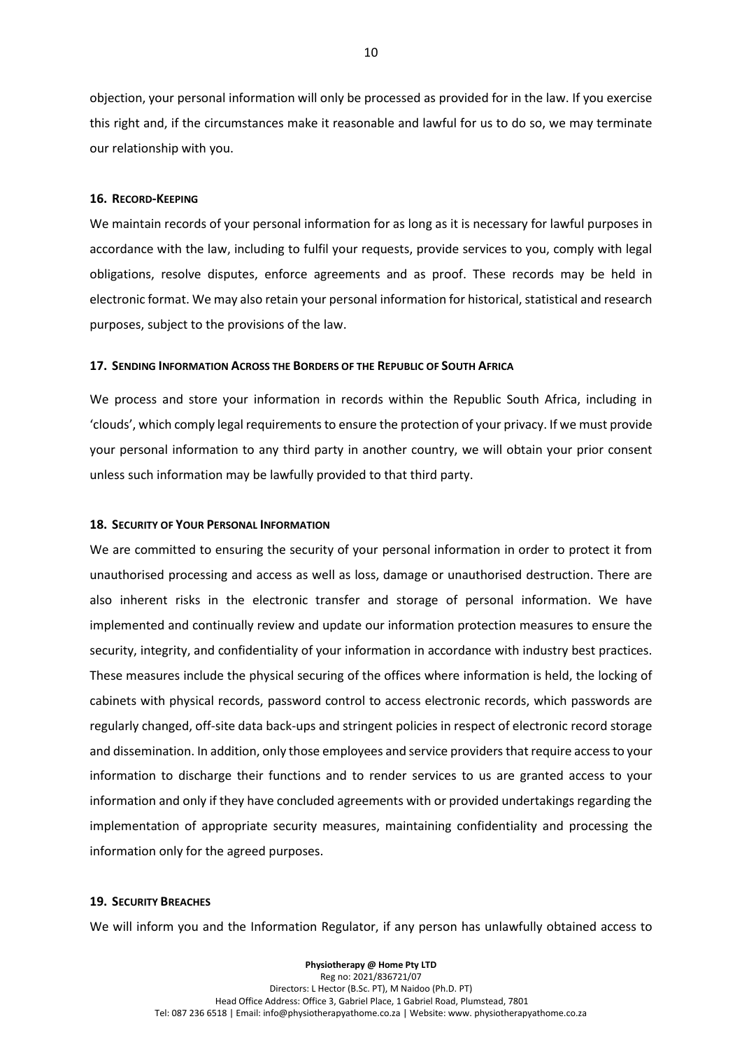objection, your personal information will only be processed as provided for in the law. If you exercise this right and, if the circumstances make it reasonable and lawful for us to do so, we may terminate our relationship with you.

#### <span id="page-9-0"></span>**16. RECORD-KEEPING**

We maintain records of your personal information for as long as it is necessary for lawful purposes in accordance with the law, including to fulfil your requests, provide services to you, comply with legal obligations, resolve disputes, enforce agreements and as proof. These records may be held in electronic format. We may also retain your personal information for historical, statistical and research purposes, subject to the provisions of the law.

#### <span id="page-9-1"></span>**17. SENDING INFORMATION ACROSS THE BORDERS OF THE REPUBLIC OF SOUTH AFRICA**

We process and store your information in records within the Republic South Africa, including in 'clouds', which comply legal requirements to ensure the protection of your privacy. If we must provide your personal information to any third party in another country, we will obtain your prior consent unless such information may be lawfully provided to that third party.

#### <span id="page-9-2"></span>**18. SECURITY OF YOUR PERSONAL INFORMATION**

We are committed to ensuring the security of your personal information in order to protect it from unauthorised processing and access as well as loss, damage or unauthorised destruction. There are also inherent risks in the electronic transfer and storage of personal information. We have implemented and continually review and update our information protection measures to ensure the security, integrity, and confidentiality of your information in accordance with industry best practices. These measures include the physical securing of the offices where information is held, the locking of cabinets with physical records, password control to access electronic records, which passwords are regularly changed, off-site data back-ups and stringent policies in respect of electronic record storage and dissemination. In addition, only those employees and service providers that require access to your information to discharge their functions and to render services to us are granted access to your information and only if they have concluded agreements with or provided undertakings regarding the implementation of appropriate security measures, maintaining confidentiality and processing the information only for the agreed purposes.

#### <span id="page-9-3"></span>**19. SECURITY BREACHES**

We will inform you and the Information Regulator, if any person has unlawfully obtained access to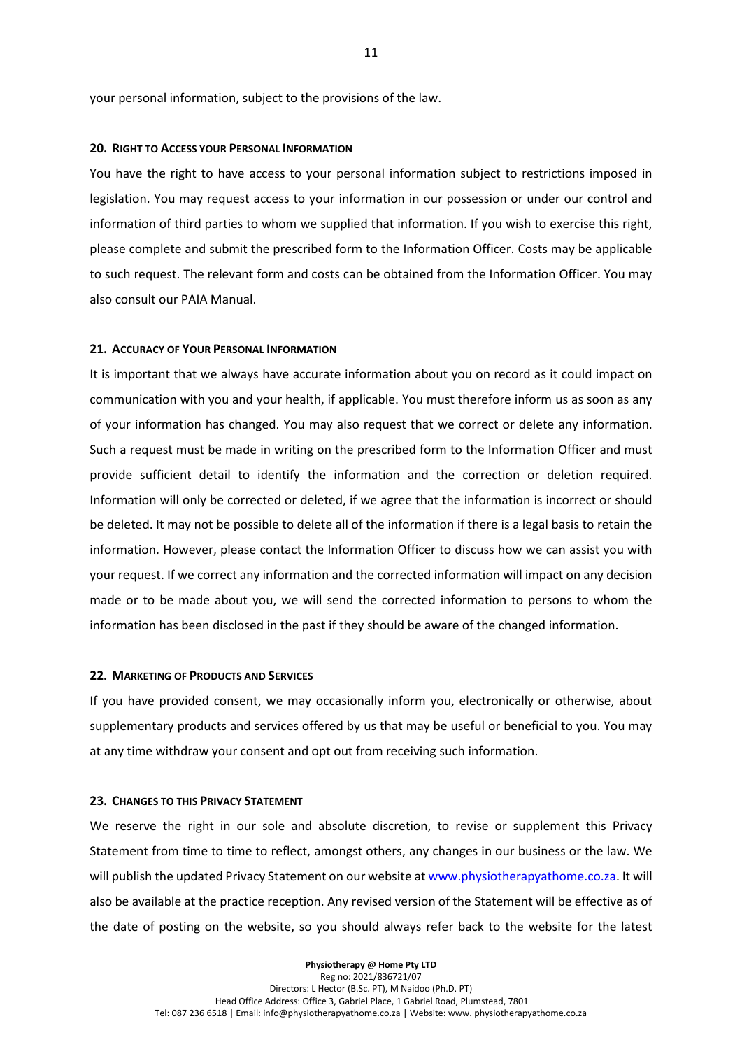your personal information, subject to the provisions of the law.

#### <span id="page-10-0"></span>**20. RIGHT TO ACCESS YOUR PERSONAL INFORMATION**

You have the right to have access to your personal information subject to restrictions imposed in legislation. You may request access to your information in our possession or under our control and information of third parties to whom we supplied that information. If you wish to exercise this right, please complete and submit the prescribed form to the Information Officer. Costs may be applicable to such request. The relevant form and costs can be obtained from the Information Officer. You may also consult our PAIA Manual.

#### <span id="page-10-1"></span>**21. ACCURACY OF YOUR PERSONAL INFORMATION**

It is important that we always have accurate information about you on record as it could impact on communication with you and your health, if applicable. You must therefore inform us as soon as any of your information has changed. You may also request that we correct or delete any information. Such a request must be made in writing on the prescribed form to the Information Officer and must provide sufficient detail to identify the information and the correction or deletion required. Information will only be corrected or deleted, if we agree that the information is incorrect or should be deleted. It may not be possible to delete all of the information if there is a legal basis to retain the information. However, please contact the Information Officer to discuss how we can assist you with your request. If we correct any information and the corrected information will impact on any decision made or to be made about you, we will send the corrected information to persons to whom the information has been disclosed in the past if they should be aware of the changed information.

#### <span id="page-10-2"></span>**22. MARKETING OF PRODUCTS AND SERVICES**

If you have provided consent, we may occasionally inform you, electronically or otherwise, about supplementary products and services offered by us that may be useful or beneficial to you. You may at any time withdraw your consent and opt out from receiving such information.

#### <span id="page-10-3"></span>**23. CHANGES TO THIS PRIVACY STATEMENT**

We reserve the right in our sole and absolute discretion, to revise or supplement this Privacy Statement from time to time to reflect, amongst others, any changes in our business or the law. We will publish the updated Privacy Statement on our website at [www.physiotherapyathome.co.za.](http://www.physiotherapyathome.co.za/) It will also be available at the practice reception. Any revised version of the Statement will be effective as of the date of posting on the website, so you should always refer back to the website for the latest

> **Physiotherapy @ Home Pty LTD** Reg no: 2021/836721/07 Directors: L Hector (B.Sc. PT), M Naidoo (Ph.D. PT) Head Office Address: Office 3, Gabriel Place, 1 Gabriel Road, Plumstead, 7801 Tel: 087 236 6518 | Email: info@physiotherapyathome.co.za | Website: www. physiotherapyathome.co.za